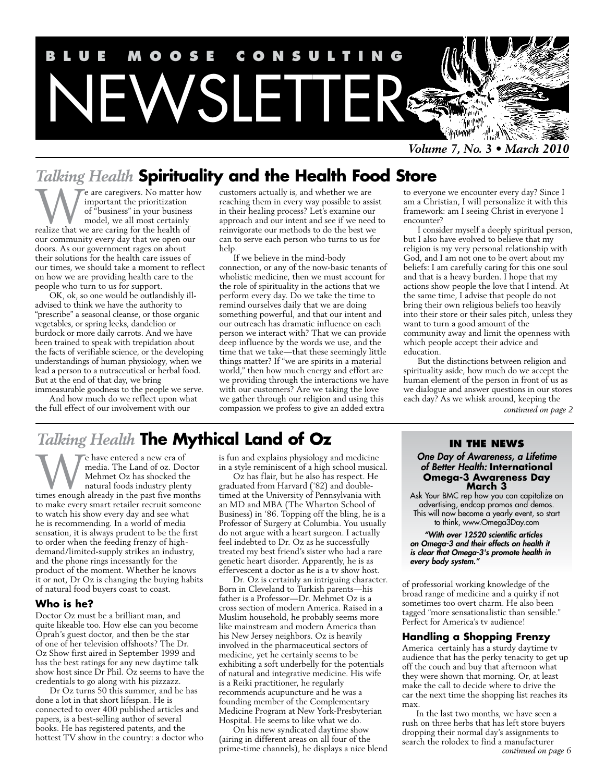

*Volume 7, No. 3 • March 2010*

# *Talking Health* **Spirituality and the Health Food Store**

**W** e are caregivers. No matter how important the prioritization of "business" in your business model, we all most certainly realize that we are caring for the health of important the prioritization of "business" in your business model, we all most certainly our community every day that we open our doors. As our government rages on about their solutions for the health care issues of our times, we should take a moment to reflect on how we are providing health care to the people who turn to us for support.

OK, ok, so one would be outlandishly illadvised to think we have the authority to "prescribe" a seasonal cleanse, or those organic vegetables, or spring leeks, dandelion or burdock or more daily carrots. And we have been trained to speak with trepidation about the facts of verifiable science, or the developing understandings of human physiology, when we lead a person to a nutraceutical or herbal food. But at the end of that day, we bring immeasurable goodness to the people we serve.

And how much do we reflect upon what the full effect of our involvement with our

customers actually is, and whether we are reaching them in every way possible to assist in their healing process? Let's examine our approach and our intent and see if we need to reinvigorate our methods to do the best we can to serve each person who turns to us for help.

If we believe in the mind-body connection, or any of the now-basic tenants of wholistic medicine, then we must account for the role of spirituality in the actions that we perform every day. Do we take the time to remind ourselves daily that we are doing something powerful, and that our intent and our outreach has dramatic influence on each person we interact with? That we can provide deep influence by the words we use, and the time that we take—that these seemingly little things matter? If "we are spirits in a material world," then how much energy and effort are we providing through the interactions we have with our customers? Are we taking the love we gather through our religion and using this compassion we profess to give an added extra

#### to everyone we encounter every day? Since I am a Christian, I will personalize it with this framework: am I seeing Christ in everyone I encounter?

I consider myself a deeply spiritual person, but I also have evolved to believe that my religion is my very personal relationship with God, and I am not one to be overt about my beliefs: I am carefully caring for this one soul and that is a heavy burden. I hope that my actions show people the love that I intend. At the same time, I advise that people do not bring their own religious beliefs too heavily into their store or their sales pitch, unless they want to turn a good amount of the community away and limit the openness with which people accept their advice and education.

But the distinctions between religion and spirituality aside, how much do we accept the human element of the person in front of us as we dialogue and answer questions in our stores each day? As we whisk around, keeping the *continued on page 2*

# *Talking Health* **The Mythical Land of Oz**

We have entered a new era of<br>
media. The Land of oz. Doctor<br>
Mehmet Oz has shocked the<br>
natural foods industry plenty<br>
times enough already in the past five months media. The Land of oz. Doctor Mehmet Oz has shocked the natural foods industry plenty to make every smart retailer recruit someone to watch his show every day and see what he is recommending. In a world of media sensation, it is always prudent to be the first to order when the feeding frenzy of highdemand/limited-supply strikes an industry, and the phone rings incessantly for the product of the moment. Whether he knows it or not, Dr Oz is changing the buying habits of natural food buyers coast to coast.

#### **Who is he?**

Doctor Oz must be a brilliant man, and quite likeable too. How else can you become Oprah's guest doctor, and then be the star of one of her television offshoots? The Dr. Oz Show first aired in September 1999 and has the best ratings for any new daytime talk show host since Dr Phil. Oz seems to have the credentials to go along with his pizzazz.

Dr Oz turns 50 this summer, and he has done a lot in that short lifespan. He is connected to over 400 published articles and papers, is a best-selling author of several books. He has registered patents, and the hottest TV show in the country: a doctor who is fun and explains physiology and medicine in a style reminiscent of a high school musical.

Oz has flair, but he also has respect. He graduated from Harvard ('82) and doubletimed at the University of Pennsylvania with an MD and MBA (The Wharton School of Business) in '86. Topping off the bling, he is a Professor of Surgery at Columbia. You usually do not argue with a heart surgeon. I actually feel indebted to Dr. Oz as he successfully treated my best friend's sister who had a rare genetic heart disorder. Apparently, he is as effervescent a doctor as he is a tv show host.

Dr. Oz is certainly an intriguing character. Born in Cleveland to Turkish parents—his father is a Professor—Dr. Mehmet Oz is a cross section of modern America. Raised in a Muslim household, he probably seems more like mainstream and modern America than his New Jersey neighbors. Oz is heavily involved in the pharmaceutical sectors of medicine, yet he certainly seems to be exhibiting a soft underbelly for the potentials of natural and integrative medicine. His wife is a Reiki practitioner, he regularly recommends acupuncture and he was a founding member of the Complementary Medicine Program at New York-Presbyterian Hospital. He seems to like what we do.

On his new syndicated daytime show (airing in different areas on all four of the prime-time channels), he displays a nice blend

#### **In the News**

*One Day of Awareness, a Lifetime of Better Health:* **International Omega-3 Awareness Day March 3**

Ask Your BMC rep how you can capitalize on advertising, endcap promos and demos. This will now become a yearly event, so start to think, www.Omega3Day.com

*"With over 12520 scientific articles on Omega-3 and their effects on health it is clear that Omega-3's promote health in every body system."*

of professorial working knowledge of the broad range of medicine and a quirky if not sometimes too overt charm. He also been tagged "more sensationalistic than sensible." Perfect for America's tv audience!

#### **Handling a Shopping Frenzy**

America certainly has a sturdy daytime tv audience that has the perky tenacity to get up off the couch and buy that afternoon what they were shown that morning. Or, at least make the call to decide where to drive the car the next time the shopping list reaches its max.

In the last two months, we have seen a rush on three herbs that has left store buyers dropping their normal day's assignments to search the rolodex to find a manufacturer *continued on page 6*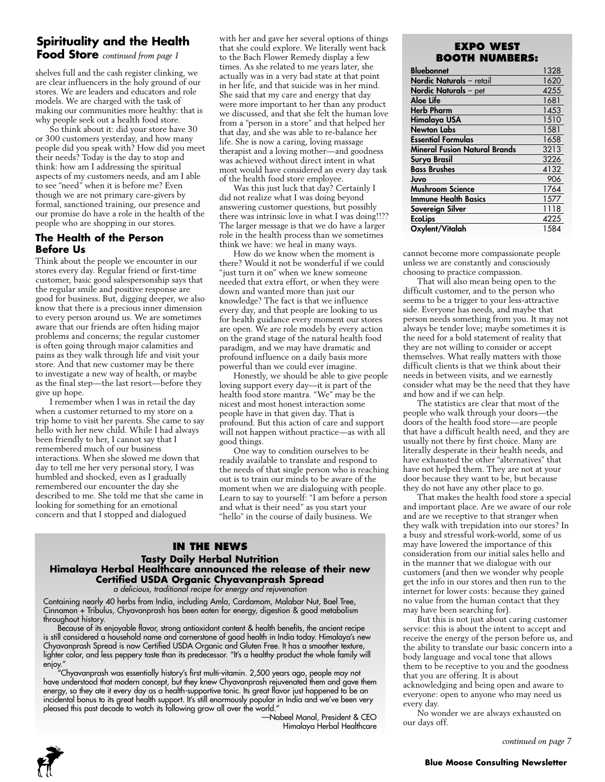# **Spirituality and the Health**

**Food Store** *continued from page 1*

shelves full and the cash register clinking, we are clear influencers in the holy ground of our stores. We are leaders and educators and role models. We are charged with the task of making our communities more healthy: that is why people seek out a health food store.

So think about it: did your store have 30 or 300 customers yesterday, and how many people did you speak with? How did you meet their needs? Today is the day to stop and think: how am I addressing the spiritual aspects of my customers needs, and am I able to see "need" when it is before me? Even though we are not primary care-givers by formal, sanctioned training, our presence and our promise do have a role in the health of the people who are shopping in our stores.

### **The Health of the Person Before Us**

Think about the people we encounter in our stores every day. Regular friend or first-time customer, basic good salespersonship says that the regular smile and positive response are good for business. But, digging deeper, we also know that there is a precious inner dimension to every person around us. We are sometimes aware that our friends are often hiding major problems and concerns; the regular customer is often going through major calamities and pains as they walk through life and visit your store. And that new customer may be there to investigate a new way of health, or maybe as the final step—the last resort—before they give up hope.

I remember when I was in retail the day when a customer returned to my store on a trip home to visit her parents. She came to say hello with her new child. While I had always been friendly to her, I cannot say that I remembered much of our business interactions. When she slowed me down that day to tell me her very personal story, I was humbled and shocked, even as I gradually remembered our encounter the day she described to me. She told me that she came in looking for something for an emotional concern and that I stopped and dialogued

with her and gave her several options of things that she could explore. We literally went back to the Bach Flower Remedy display a few times. As she related to me years later, she actually was in a very bad state at that point in her life, and that suicide was in her mind. She said that my care and energy that day were more important to her than any product we discussed, and that she felt the human love from a "person in a store" and that helped her that day, and she was able to re-balance her life. She is now a caring, loving massage therapist and a loving mother—and goodness was achieved without direct intent in what most would have considered an every day task of the health food store employee.

Was this just luck that day? Certainly I did not realize what I was doing beyond answering customer questions, but possibly there was intrinsic love in what I was doing!!?? The larger message is that we do have a larger role in the health process than we sometimes think we have: we heal in many ways.

How do we know when the moment is there? Would it not be wonderful if we could "just turn it on" when we knew someone needed that extra effort, or when they were down and wanted more than just our knowledge? The fact is that we influence every day, and that people are looking to us for health guidance every moment our stores are open. We are role models by every action on the grand stage of the natural health food paradigm, and we may have dramatic and profound influence on a daily basis more powerful than we could ever imagine.

Honestly, we should be able to give people loving support every day—it is part of the health food store mantra. "We" may be the nicest and most honest interaction some people have in that given day. That is profound. But this action of care and support will not happen without practice—as with all good things.

One way to condition ourselves to be readily available to translate and respond to the needs of that single person who is reaching out is to train our minds to be aware of the moment when we are dialoguing with people. Learn to say to yourself: "I am before a person and what is their need" as you start your "hello" in the course of daily business. We

#### **In the News Tasty Daily Herbal Nutrition Himalaya Herbal Healthcare announced the release of their new Certified USDA Organic Chyavanprash Spread** *a delicious, traditional recipe for energy and rejuvenation*

Containing nearly 40 herbs from India, including Amla, Cardamom, Malabar Nut, Bael Tree, Cinnamon + Tribulus, Chyavanprash has been eaten for energy, digestion & good metabolism throughout history.

Because of its enjoyable flavor, strong antioxidant content & health benefits, the ancient recipe is still considered a household name and cornerstone of good health in India today. Himalaya's new Chyavanprash Spread is now Certified USDA Organic and Gluten Free. It has a smoother texture, lighter color, and less peppery taste than its predecessor. "It's a healthy product the whole family will enjoy."

"Chyavanprash was essentially history's first multi-vitamin. 2,500 years ago, people may not have understood that modern concept, but they knew Chyavanprash rejuvenated them and gave them energy, so they ate it every day as a health-supportive tonic. Its great flavor just happened to be an incidental bonus to its great health support. It's still enormously popular in India and we've been very pleased this past decade to watch its following grow all over the world."

—Nabeel Manal, President & CEO Himalaya Herbal Healthcare

# **EXPO WEST Booth Numbers:**

| <b>Bluebonnet</b>               | 1328 |
|---------------------------------|------|
| <b>Nordic Naturals</b> – retail | 1620 |
| <b>Nordic Naturals</b> – pet    | 4255 |
| Aloe Life                       | 1681 |
| <b>Herb Pharm</b>               | 1453 |
| Himalaya USA                    | 1510 |
| <b>Newton Labs</b>              | 1581 |
| Essential Formulas              | 1658 |
| Mineral Fusion Natural Brands   | 3213 |
| Surya Brasil                    | 3226 |
| <b>Bass Brushes</b>             | 4132 |
| Juvo                            | 906  |
| Mushroom Science                | 1764 |
| Immune Health Basics            | 1577 |
| Sovereign Silver                | 1118 |
| <b>EcoLips</b>                  | 4225 |
| Oxylent/Vitalah                 | 1584 |

cannot become more compassionate people unless we are constantly and consciously choosing to practice compassion.

That will also mean being open to the difficult customer, and to the person who seems to be a trigger to your less-attractive side. Everyone has needs, and maybe that person needs something from you. It may not always be tender love; maybe sometimes it is the need for a bold statement of reality that they are not willing to consider or accept themselves. What really matters with those difficult clients is that we think about their needs in between visits, and we earnestly consider what may be the need that they have and how and if we can help.

The statistics are clear that most of the people who walk through your doors—the doors of the health food store—are people that have a difficult health need, and they are usually not there by first choice. Many are literally desperate in their health needs, and have exhausted the other "alternatives" that have not helped them. They are not at your door because they want to be, but because they do not have any other place to go.

That makes the health food store a special and important place. Are we aware of our role and are we receptive to that stranger when they walk with trepidation into our stores? In a busy and stressful work-world, some of us may have lowered the importance of this consideration from our initial sales hello and in the manner that we dialogue with our customers (and then we wonder why people get the info in our stores and then run to the internet for lower costs: because they gained no value from the human contact that they may have been searching for).

But this is not just about caring customer service: this is about the intent to accept and receive the energy of the person before us, and the ability to translate our basic concern into a body language and vocal tone that allows them to be receptive to you and the goodness that you are offering. It is about acknowledging and being open and aware to

everyone: open to anyone who may need us every day. No wonder we are always exhausted on

our days off.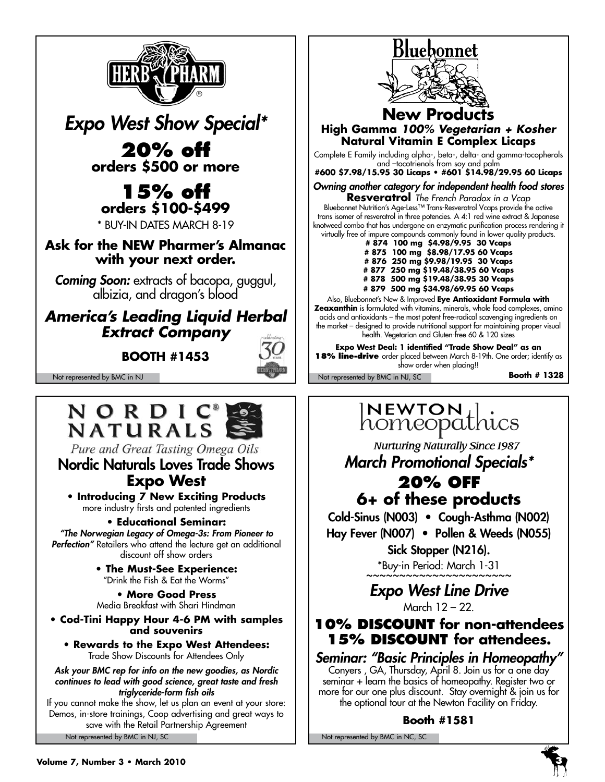

*Expo West Show Special\**

**20% off orders \$500 or more**

# **15% off orders \$100-\$499**

\* Buy-in Dates March 8-19

**Ask for the NEW Pharmer's Almanac with your next order.**

*Coming Soon:* extracts of bacopa, guggul, albizia, and dragon's blood

# *America's Leading Liquid Herbal Extract Company*

**Booth #1453**



Not represented by BMC in NJ Not represented by BMC in NJ, SC



Pure and Great Tasting Omega Oils

# Nordic Naturals Loves Trade Shows **Expo West**

**• Introducing 7 New Exciting Products** more industry firsts and patented ingredients

# **• Educational Seminar:**

*"The Norwegian Legacy of Omega-3s: From Pioneer to*  **Perfection"** Retailers who attend the lecture get an additional discount off show orders

> **• The Must-See Experience:** "Drink the Fish & Eat the Worms"

**• More Good Press**  Media Breakfast with Shari Hindman

**• Cod-Tini Happy Hour 4-6 PM with samples and souvenirs**

**• Rewards to the Expo West Attendees:**  Trade Show Discounts for Attendees Only

*Ask your BMC rep for info on the new goodies, as Nordic continues to lead with good science, great taste and fresh triglyceride-form fish oils* 

Not represented by BMC in NJ, SC Not represented by BMC in NC, SC Not represented by BMC in NC, SC If you cannot make the show, let us plan an event at your store: Demos, in-store trainings, Coop advertising and great ways to save with the Retail Partnership Agreement



# **New Products High Gamma** *100% Vegetarian + Kosher*  **Natural Vitamin E Complex Licaps**

Complete E Family including alpha-, beta-, delta- and gamma-tocopherols and –tocotrienols from soy and palm

**#600 \$7.98/15.95 30 Licaps • #601 \$14.98/29.95 60 Licaps**

*Owning another category for independent health food stores*

**Resveratrol** *The French Paradox in a Vcap* Bluebonnet Nutrition's Age-Less™ Trans-Resveratrol Vcaps provide the active trans isomer of resveratrol in three potencies. A 4:1 red wine extract & Japanese knotweed combo that has undergone an enzymatic purification process rendering it virtually free of impure compounds commonly found in lower quality products.

- **# 874 100 mg \$4.98/9.95 30 Vcaps**
- **# 875 100 mg \$8.98/17.95 60 Vcaps # 876 250 mg \$9.98/19.95 30 Vcaps**
- **# 877 250 mg \$19.48/38.95 60 Vcaps**
- **# 878 500 mg \$19.48/38.95 30 Vcaps**
- **# 879 500 mg \$34.98/69.95 60 Vcaps**

Also, Bluebonnet's New & Improved **Eye Antioxidant Formula with Zeaxanthin** is formulated with vitamins, minerals, whole food complexes, amino acids and antioxidants – the most potent free-radical scavenging ingredients on the market – designed to provide nutritional support for maintaining proper visual health. Vegetarian and Gluten-free 60 & 120 sizes

**Expo West Deal: 1 identified "Trade Show Deal" as an 18% line-drive** order placed between March 8-19th. One order; identify as show order when placing!!

**Booth # 1328**

# **NEWTON** ...<br>homeopathics

Nurturing Naturally Since 1987 *March Promotional Specials\** **20% off 6+ of these products**

Cold-Sinus (N003) • Cough-Asthma (N002) Hay Fever (N007) • Pollen & Weeds (N055) Sick Stopper (N216).

\*Buy-in Period: March 1-31

# *Expo West Line Drive*  March 12 – 22.

**10% discount for non-attendees 15% discount for attendees.**

*Seminar: "Basic Principles in Homeopathy"* Conyers , GA, Thursday, April 8. Join us for a one day seminar + learn the basics of homeopathy. Register two or more for our one plus discount. Stay overnight & join us for the optional tour at the Newton Facility on Friday.

# **Booth #1581**

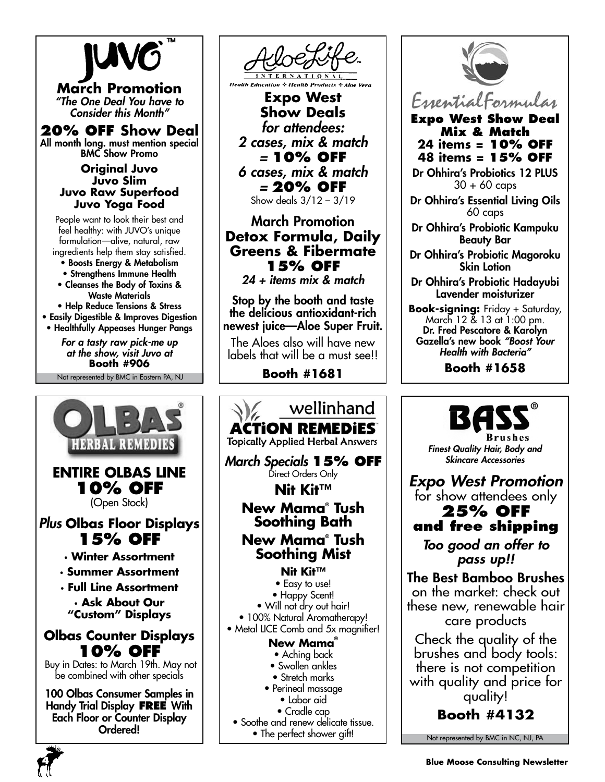

**March Promotion** *"The One Deal You have to Consider this Month"*

### **20% off Show Deal** All month long. must mention special

BMC Show Promo

#### **Original Juvo Juvo Slim Juvo Raw Superfood Juvo Yoga Food**

People want to look their best and feel healthy: with JUVO's unique formulation—alive, natural, raw ingredients help them stay satisfied.

- Boosts Energy & Metabolism
- Strengthens Immune Health
- Cleanses the Body of Toxins & Waste Materials

• Help Reduce Tensions & Stress • Easily Digestible & Improves Digestion • Healthfully Appeases Hunger Pangs

> *For a tasty raw pick-me up at the show, visit Juvo at* **Booth #906**

Not represented by BMC in Eastern PA, NJ





**Expo West Show Deals** *for attendees: 2 cases, mix & match =* **10% off** *6 cases, mix & match =* **20% off** Show deals 3/12 – 3/19

# March Promotion **Detox Formula, Daily Greens & Fibermate 15% off**

*24 + items mix & match*

Stop by the booth and taste the delicious antioxidant-rich newest juice—Aloe Super Fruit.

The Aloes also will have new labels that will be a must see!!

**Booth #1681**





EssentialFormulas **Expo West Show Deal**

**Mix & Match 24 items = 10% off 48 items = 15% off**

Dr Ohhira's Probiotics 12 PLUS 30 + 60 caps

Dr Ohhira's Essential Living Oils 60 caps

Dr Ohhira's Probiotic Kampuku Beauty Bar

Dr Ohhira's Probiotic Magoroku Skin Lotion

Dr Ohhira's Probiotic Hadayubi Lavender moisturizer

**Book-signing:** Friday + Saturday, March 12 & 13 at 1:00 pm. Dr. Fred Pescatore & Karolyn Gazella's new book *"Boost Your Health with Bacteria"*

**Booth #1658**



brushes and body tools: there is not competition with quality and price for quality!

**Booth #4132**

Not represented by BMC in NC, NJ, PA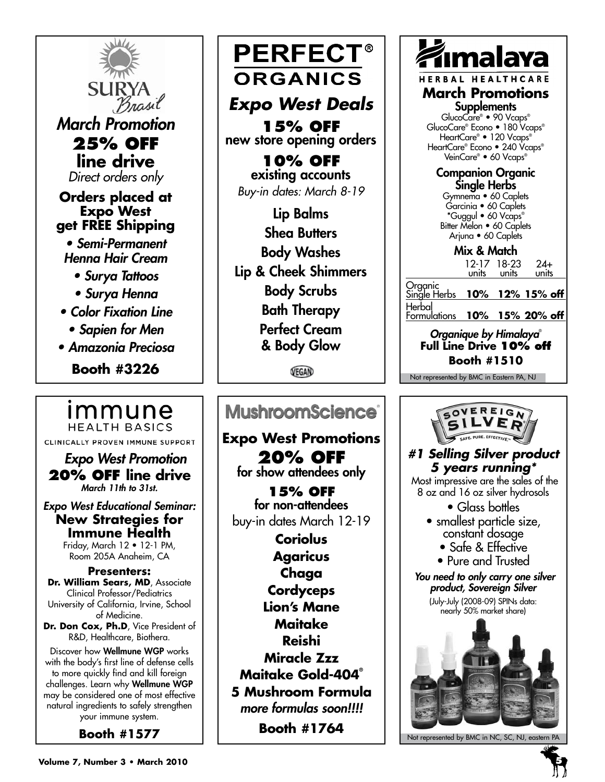

# immune **HEALTH BASICS**

CLINICALLY PROVEN IMMUNE SUPPORT

 *Expo West Promotion* **20% off line drive**  *March 11th to 31st.* 

*Expo West Educational Seminar:*  **New Strategies for Immune Health**

Friday, March 12 • 12-1 PM, Room 205A Anaheim, CA

**Presenters: Dr. William Sears, MD**, Associate Clinical Professor/Pediatrics University of California, Irvine, School of Medicine.

Dr. Don Cox, Ph.D, Vice President of R&D, Healthcare, Biothera.

Discover how Wellmune WGP works with the body's first line of defense cells to more quickly find and kill foreign challenges. Learn why Wellmune WGP may be considered one of most effective natural ingredients to safely strengthen your immune system.

**Booth #1577**

**PERFECT® ORGANICS** 

# *Expo West Deals*

**15% off** new store opening orders

**10% off** existing accounts *Buy-in dates: March 8-19*

Lip Balms Shea Butters Body Washes Lip & Cheek Shimmers Body Scrubs Bath Therapy Perfect Cream & Body Glow

VEGAN

# MushroomScience<sup>®</sup>

**Expo West Promotions 20% off**  for show attendees only

**15% off**  for non-attendees buy-in dates March 12-19

**Coriolus Agaricus Chaga Cordyceps Lion's Mane Maitake Reishi Miracle Zzz Maitake Gold-404® 5 Mushroom Formula** *more formulas soon!!!!* **Booth #1764**



HERBAL HEALTHCARE

**March Promotions Supplements** 

GlucoCare® • 90 Vcaps® GlucoCare® Econo • 180 Vcaps® HeartCare® • 120 Vcaps® HeartCare® Econo • 240 Vcaps® VeinCare® • 60 Vcaps®

Companion Organic Single Herbs

Gymnema • 60 Caplets Garcinia • 60 Caplets \*Guggul • 60 Vcaps® Bitter Melon • 60 Caplets Arjuna • 60 Caplets

Mix & Match

12-17 18-23 24+ units units units

Organic Single Herbs **10% 12% 15% off** Herbal

Formulations **10% 15% 20% off**

*Organique by Himalaya*® **Full Line Drive 10% off Booth #1510**

Not represented by BMC in Eastern PA, NJ



Not represented by BMC in NC, SC, NJ, eastern PA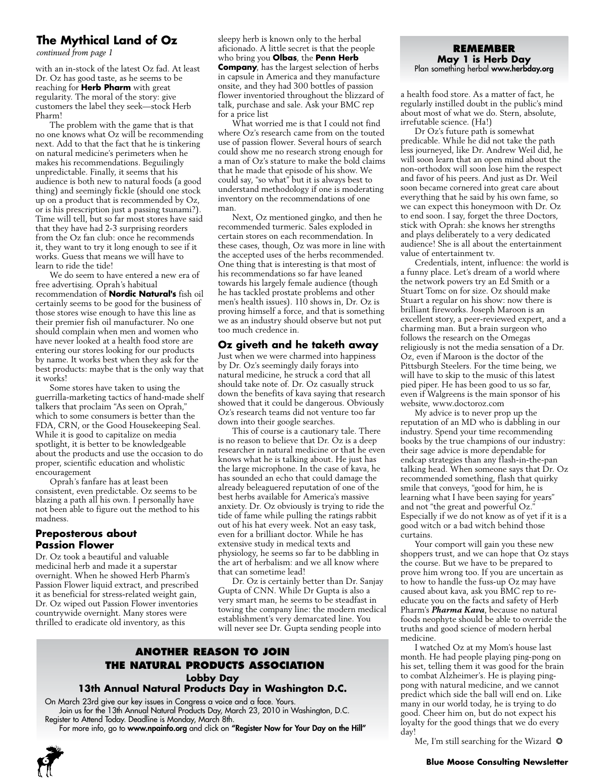# **The Mythical Land of Oz**

with an in-stock of the latest Oz fad. At least Dr. Oz has good taste, as he seems to be reaching for **Herb Pharm** with great regularity. The moral of the story: give customers the label they seek—stock Herb Pharm!

The problem with the game that is that no one knows what Oz will be recommending next. Add to that the fact that he is tinkering on natural medicine's perimeters when he makes his recommendations. Beguilingly unpredictable. Finally, it seems that his audience is both new to natural foods (a good thing) and seemingly fickle (should one stock up on a product that is recommended by Oz, or is his prescription just a passing tsunami?). Time will tell, but so far most stores have said that they have had 2-3 surprising reorders from the Oz fan club: once he recommends it, they want to try it long enough to see if it works. Guess that means we will have to learn to ride the tide!

We do seem to have entered a new era of free advertising. Oprah's habitual recommendation of **Nordic Natural's** fish oil certainly seems to be good for the business of those stores wise enough to have this line as their premier fish oil manufacturer. No one should complain when men and women who have never looked at a health food store are entering our stores looking for our products by name. It works best when they ask for the best products: maybe that is the only way that it works!

Some stores have taken to using the guerrilla-marketing tactics of hand-made shelf talkers that proclaim "As seen on Oprah," which to some consumers is better than the FDA, CRN, or the Good Housekeeping Seal. While it is good to capitalize on media spotlight, it is better to be knowledgeable about the products and use the occasion to do proper, scientific education and wholistic encouragement

Oprah's fanfare has at least been consistent, even predictable. Oz seems to be blazing a path all his own. I personally have not been able to figure out the method to his madness.

#### **Preposterous about Passion Flower**

Dr. Oz took a beautiful and valuable medicinal herb and made it a superstar overnight. When he showed Herb Pharm's Passion Flower liquid extract, and prescribed it as beneficial for stress-related weight gain, Dr. Oz wiped out Passion Flower inventories countrywide overnight. Many stores were thrilled to eradicate old inventory, as this

sleepy herb is known only to the herbal aficionado. A little secret is that the people<br> *continued from page 1* **REMEMBE** who bring you **Olbas**, the **Penn Herb Company**, has the largest selection of herbs in capsule in America and they manufacture onsite, and they had 300 bottles of passion flower inventoried throughout the blizzard of talk, purchase and sale. Ask your BMC rep for a price list

What worried me is that I could not find where Oz's research came from on the touted use of passion flower. Several hours of search could show me no research strong enough for a man of Oz's stature to make the bold claims that he made that episode of his show. We could say, "so what" but it is always best to understand methodology if one is moderating inventory on the recommendations of one man.

Next, Oz mentioned gingko, and then he recommended turmeric. Sales exploded in certain stores on each recommendation. In these cases, though, Oz was more in line with the accepted uses of the herbs recommended. One thing that is interesting is that most of his recommendations so far have leaned towards his largely female audience (though he has tackled prostate problems and other men's health issues). 110 shows in, Dr. Oz is proving himself a force, and that is something we as an industry should observe but not put too much credence in.

### **Oz giveth and he taketh away**

Just when we were charmed into happiness by Dr. Oz's seemingly daily forays into natural medicine, he struck a cord that all should take note of. Dr. Oz casually struck down the benefits of kava saying that research showed that it could be dangerous. Obviously Oz's research teams did not venture too far down into their google searches.

This of course is a cautionary tale. There is no reason to believe that Dr. Oz is a deep researcher in natural medicine or that he even knows what he is talking about. He just has the large microphone. In the case of kava, he has sounded an echo that could damage the already beleaguered reputation of one of the best herbs available for America's massive anxiety. Dr. Oz obviously is trying to ride the tide of fame while pulling the ratings rabbit out of his hat every week. Not an easy task, even for a brilliant doctor. While he has extensive study in medical texts and physiology, he seems so far to be dabbling in the art of herbalism: and we all know where that can sometime lead!

Dr. Oz is certainly better than Dr. Sanjay Gupta of CNN. While Dr Gupta is also a very smart man, he seems to be steadfast in towing the company line: the modern medical establishment's very demarcated line. You will never see Dr. Gupta sending people into

### **Another Reason to Join The Natural Products Association Lobby Day 13th Annual Natural Products Day in Washington D.C.**

On March 23rd give our key issues in Congress a voice and a face. Yours.

Join us for the 13th Annual Natural Products Day, March 23, 2010 in Washington, D.C. Register to Attend Today. Deadline is Monday, March 8th.

For more info, go to www.npainfo.org and click on "Register Now for Your Day on the Hill"

# **May 1 is Herb Day** Plan something herbal www.herbday.org

a health food store. As a matter of fact, he regularly instilled doubt in the public's mind about most of what we do. Stern, absolute, irrefutable science. (Ha!)

Dr Oz's future path is somewhat predicable. While he did not take the path less journeyed, like Dr. Andrew Weil did, he will soon learn that an open mind about the non-orthodox will soon lose him the respect and favor of his peers. And just as Dr. Weil soon became cornered into great care about everything that he said by his own fame, so we can expect this honeymoon with Dr. Oz to end soon. I say, forget the three Doctors, stick with Oprah: she knows her strengths and plays deliberately to a very dedicated audience! She is all about the entertainment value of entertainment tv.

Credentials, intent, influence: the world is a funny place. Let's dream of a world where the network powers try an Ed Smith or a Stuart Tomc on for size. Oz should make Stuart a regular on his show: now there is brilliant fireworks. Joseph Maroon is an excellent story, a peer-reviewed expert, and a charming man. But a brain surgeon who follows the research on the Omegas religiously is not the media sensation of a Dr. Oz, even if Maroon is the doctor of the Pittsburgh Steelers. For the time being, we will have to skip to the music of this latest pied piper. He has been good to us so far, even if Walgreens is the main sponsor of his website, www.doctoroz.com

My advice is to never prop up the reputation of an MD who is dabbling in our industry. Spend your time recommending books by the true champions of our industry: their sage advice is more dependable for endcap strategies than any flash-in-the-pan talking head. When someone says that Dr. Oz recommended something, flash that quirky smile that conveys, "good for him, he is learning what I have been saying for years" and not "the great and powerful Oz." Especially if we do not know as of yet if it is a good witch or a bad witch behind those curtains.

Your comport will gain you these new shoppers trust, and we can hope that Oz stays the course. But we have to be prepared to prove him wrong too. If you are uncertain as to how to handle the fuss-up Oz may have caused about kava, ask you BMC rep to reeducate you on the facts and safety of Herb Pharm's *Pharma Kava*, because no natural foods neophyte should be able to override the truths and good science of modern herbal medicine.

I watched Oz at my Mom's house last month. He had people playing ping-pong on his set, telling them it was good for the brain to combat Alzheimer's. He is playing pingpong with natural medicine, and we cannot predict which side the ball will end on. Like many in our world today, he is trying to do good. Cheer him on, but do not expect his loyalty for the good things that we do every day!

Me, I'm still searching for the Wizard  $\bullet$ 

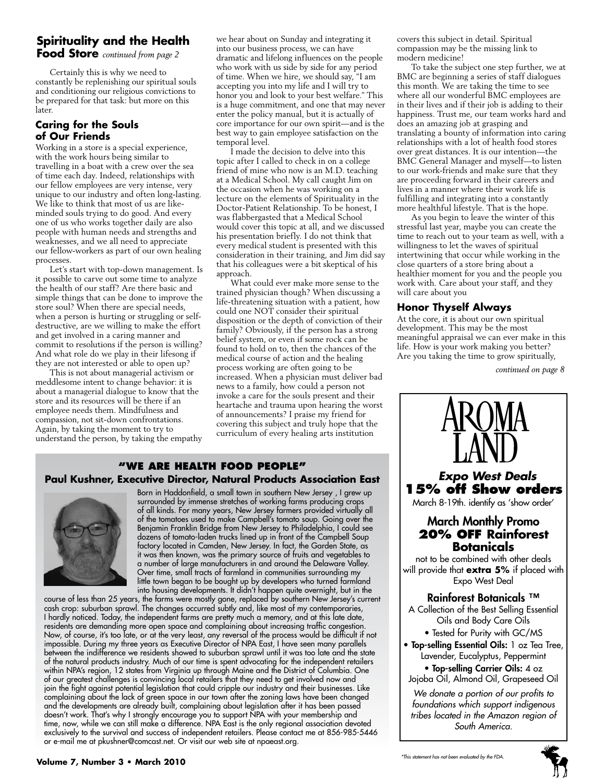### **Spirituality and the Health Food Store** *continued from page 2*

Certainly this is why we need to constantly be replenishing our spiritual souls and conditioning our religious convictions to be prepared for that task: but more on this later.

# **Caring for the Souls of Our Friends**

Working in a store is a special experience, with the work hours being similar to travelling in a boat with a crew over the sea of time each day. Indeed, relationships with our fellow employees are very intense, very unique to our industry and often long-lasting. We like to think that most of us are likeminded souls trying to do good. And every one of us who works together daily are also people with human needs and strengths and weaknesses, and we all need to appreciate our fellow-workers as part of our own healing processes.

Let's start with top-down management. Is it possible to carve out some time to analyze the health of our staff? Are there basic and simple things that can be done to improve the store soul? When there are special needs, when a person is hurting or struggling or selfdestructive, are we willing to make the effort and get involved in a caring manner and commit to resolutions if the person is willing? And what role do we play in their lifesong if they are not interested or able to open up?

This is not about managerial activism or meddlesome intent to change behavior: it is about a managerial dialogue to know that the store and its resources will be there if an employee needs them. Mindfulness and compassion, not sit-down confrontations. Again, by taking the moment to try to understand the person, by taking the empathy we hear about on Sunday and integrating it into our business process, we can have dramatic and lifelong influences on the people who work with us side by side for any period of time. When we hire, we should say, "I am accepting you into my life and I will try to honor you and look to your best welfare." This is a huge commitment, and one that may never enter the policy manual, but it is actually of core importance for our own spirit—and is the best way to gain employee satisfaction on the temporal level.

I made the decision to delve into this topic after I called to check in on a college friend of mine who now is an M.D. teaching at a Medical School. My call caught Jim on the occasion when he was working on a lecture on the elements of Spirituality in the Doctor-Patient Relationship. To be honest, I was flabbergasted that a Medical School would cover this topic at all, and we discussed his presentation briefly. I do not think that every medical student is presented with this consideration in their training, and Jim did say that his colleagues were a bit skeptical of his approach.

What could ever make more sense to the trained physician though? When discussing a life-threatening situation with a patient, how could one NOT consider their spiritual disposition or the depth of conviction of their family? Obviously, if the person has a strong belief system, or even if some rock can be found to hold on to, then the chances of the medical course of action and the healing process working are often going to be increased. When a physician must deliver bad news to a family, how could a person not invoke a care for the souls present and their heartache and trauma upon hearing the worst of announcements? I praise my friend for covering this subject and truly hope that the curriculum of every healing arts institution

### **"We Are health food people" Paul Kushner, Executive Director, Natural Products Association East**



Born in Haddonfield, a small town in southern New Jersey , I grew up surrounded by immense stretches of working farms producing crops of all kinds. For many years, New Jersey farmers provided virtually all of the tomatoes used to make Campbell's tomato soup. Going over the Benjamin Franklin Bridge from New Jersey to Philadelphia, I could see dozens of tomato-laden trucks lined up in front of the Campbell Soup factory located in Camden, New Jersey. In fact, the Garden State, as it was then known, was the primary source of fruits and vegetables to a number of large manufacturers in and around the Delaware Valley. Over time, small tracts of farmland in communities surrounding my little town began to be bought up by developers who turned farmland into housing developments. It didn't happen quite overnight, but in the

course of less than 25 years, the farms were mostly gone, replaced by southern New Jersey's current cash crop: suburban sprawl. The changes occurred subtly and, like most of my contemporaries, I hardly noticed. Today, the independent farms are pretty much a memory, and at this late date, residents are demanding more open space and complaining about increasing traffic congestion. Now, of course, it's too late, or at the very least, any reversal of the process would be difficult if not impossible. During my three years as Executive Director of NPA East, I have seen many parallels between the indifference we residents showed to suburban sprawl until it was too late and the state of the natural products industry. Much of our time is spent advocating for the independent retailers within NPA's region, 12 states from Virginia up through Maine and the District of Columbia. One of our greatest challenges is convincing local retailers that they need to get involved now and join the fight against potential legislation that could cripple our industry and their businesses. Like complaining about the lack of green space in our town after the zoning laws have been changed and the developments are already built, complaining about legislation after it has been passed doesn't work. That's why I strongly encourage you to support NPA with your membership and time, now, while we can still make a difference. NPA East is the only regional association devoted exclusively to the survival and success of independent retailers. Please contact me at 856-985-5446 or e-mail me at pkushner@comcast.net. Or visit our web site at npaeast.org.

covers this subject in detail. Spiritual compassion may be the missing link to modern medicine!

To take the subject one step further, we at BMC are beginning a series of staff dialogues this month. We are taking the time to see where all our wonderful BMC employees are in their lives and if their job is adding to their happiness. Trust me, our team works hard and does an amazing job at grasping and translating a bounty of information into caring relationships with a lot of health food stores over great distances. It is our intention—the BMC General Manager and myself—to listen to our work-friends and make sure that they are proceeding forward in their careers and lives in a manner where their work life is fulfilling and integrating into a constantly more healthful lifestyle. That is the hope.

As you begin to leave the winter of this stressful last year, maybe you can create the time to reach out to your team as well, with a willingness to let the waves of spiritual intertwining that occur while working in the close quarters of a store bring about a healthier moment for you and the people you work with. Care about your staff, and they will care about you

#### **Honor Thyself Always**

At the core, it is about our own spiritual development. This may be the most meaningful appraisal we can ever make in this life. How is your work making you better? Are you taking the time to grow spiritually,

*continued on page 8*



*foundations which support indigenous tribes located in the Amazon region of South America.*